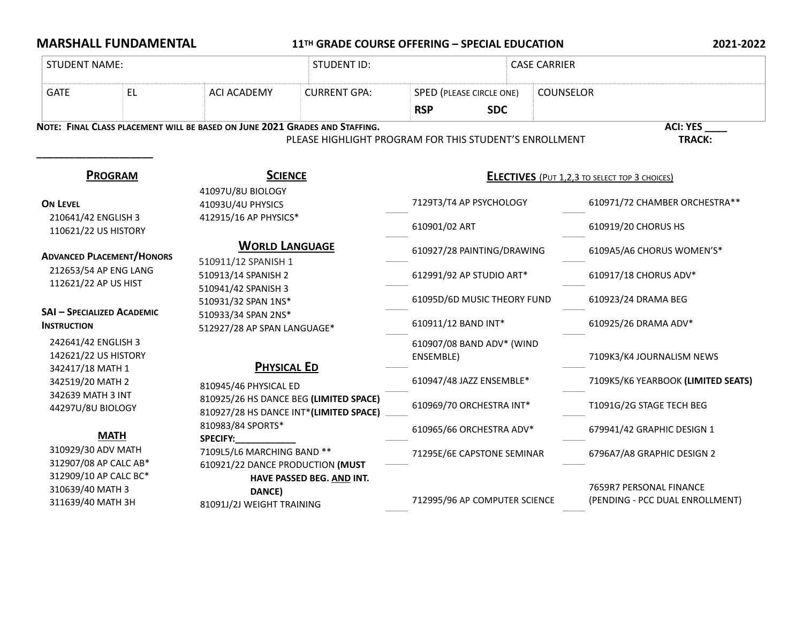## **MARSHALL FUNDAMENTAL** 11<sup>TH</sup> GRADE COURSE OFFERING – SPECIAL EDUCATION 2021-2022

| <b>STUDENT NAME:</b>                                            |                                                                             | <b>STUDENT ID:</b>                                                                                                                                                                            |                                                        |                                                      | <b>CASE CARRIER</b>                                        |  |  |
|-----------------------------------------------------------------|-----------------------------------------------------------------------------|-----------------------------------------------------------------------------------------------------------------------------------------------------------------------------------------------|--------------------------------------------------------|------------------------------------------------------|------------------------------------------------------------|--|--|
| <b>EL</b><br><b>GATE</b>                                        | <b>ACI ACADEMY</b>                                                          | <b>CURRENT GPA:</b>                                                                                                                                                                           | SPED (PLEASE CIRCLE ONE)<br><b>RSP</b><br><b>SDC</b>   |                                                      | <b>COUNSELOR</b>                                           |  |  |
|                                                                 | NOTE: FINAL CLASS PLACEMENT WILL BE BASED ON JUNE 2021 GRADES AND STAFFING. |                                                                                                                                                                                               | PLEASE HIGHLIGHT PROGRAM FOR THIS STUDENT'S ENROLLMENT |                                                      | <b>ACI: YES</b><br><b>TRACK:</b>                           |  |  |
| <b>PROGRAM</b>                                                  | <b>SCIENCE</b>                                                              | 41097U/8U BIOLOGY                                                                                                                                                                             |                                                        | <b>ELECTIVES</b> (PUT 1,2,3 TO SELECT TOP 3 CHOICES) |                                                            |  |  |
| <b>ON LEVEL</b>                                                 | 41093U/4U PHYSICS                                                           | 412915/16 AP PHYSICS*                                                                                                                                                                         |                                                        | 7129T3/T4 AP PSYCHOLOGY                              | 610971/72 CHAMBER ORCHESTRA**                              |  |  |
| 210641/42 ENGLISH 3<br>110621/22 US HISTORY                     |                                                                             |                                                                                                                                                                                               |                                                        |                                                      | 610919/20 CHORUS HS                                        |  |  |
| <b>ADVANCED PLACEMENT/HONORS</b>                                |                                                                             | <b>WORLD LANGUAGE</b><br>510911/12 SPANISH 1<br>510913/14 SPANISH 2<br>510941/42 SPANISH 3<br>510931/32 SPAN 1NS*<br>510933/34 SPAN 2NS*<br>512927/28 AP SPAN LANGUAGE*<br><b>PHYSICAL ED</b> |                                                        | 610927/28 PAINTING/DRAWING                           | 6109A5/A6 CHORUS WOMEN'S*                                  |  |  |
| 212653/54 AP ENG LANG<br>112621/22 AP US HIST                   |                                                                             |                                                                                                                                                                                               |                                                        | 612991/92 AP STUDIO ART*                             | 610917/18 CHORUS ADV*                                      |  |  |
| <b>SAI - SPECIALIZED ACADEMIC</b>                               |                                                                             |                                                                                                                                                                                               |                                                        | 61095D/6D MUSIC THEORY FUND                          | 610923/24 DRAMA BEG                                        |  |  |
| <b>INSTRUCTION</b>                                              |                                                                             |                                                                                                                                                                                               |                                                        | 610911/12 BAND INT*                                  | 610925/26 DRAMA ADV*                                       |  |  |
| 242641/42 ENGLISH 3<br>142621/22 US HISTORY<br>342417/18 MATH 1 |                                                                             |                                                                                                                                                                                               |                                                        | 610907/08 BAND ADV* (WIND                            | 7109K3/K4 JOURNALISM NEWS                                  |  |  |
| 342519/20 MATH 2                                                | 810945/46 PHYSICAL ED                                                       |                                                                                                                                                                                               | 610947/48 JAZZ ENSEMBLE*                               |                                                      | 7109K5/K6 YEARBOOK (LIMITED SEATS)                         |  |  |
| 342639 MATH 3 INT<br>44297U/8U BIOLOGY                          |                                                                             | 810925/26 HS DANCE BEG (LIMITED SPACE)<br>810927/28 HS DANCE INT*(LIMITED SPACE)                                                                                                              | 610969/70 ORCHESTRA INT*                               |                                                      | T1091G/2G STAGE TECH BEG                                   |  |  |
| <b>MATH</b>                                                     | 810983/84 SPORTS*<br><b>SPECIFY:</b>                                        | 7109L5/L6 MARCHING BAND **<br>610921/22 DANCE PRODUCTION (MUST<br>HAVE PASSED BEG. AND INT.<br>DANCE)<br>81091J/2J WEIGHT TRAINING                                                            |                                                        | 610965/66 ORCHESTRA ADV*                             | 679941/42 GRAPHIC DESIGN 1                                 |  |  |
| 310929/30 ADV MATH<br>312907/08 AP CALC AB*                     |                                                                             |                                                                                                                                                                                               |                                                        | 71295E/6E CAPSTONE SEMINAR                           | 6796A7/A8 GRAPHIC DESIGN 2                                 |  |  |
| 312909/10 AP CALC BC*<br>310639/40 MATH 3<br>311639/40 MATH 3H  |                                                                             |                                                                                                                                                                                               |                                                        | 712995/96 AP COMPUTER SCIENCE                        | 7659R7 PERSONAL FINANCE<br>(PENDING - PCC DUAL ENROLLMENT) |  |  |